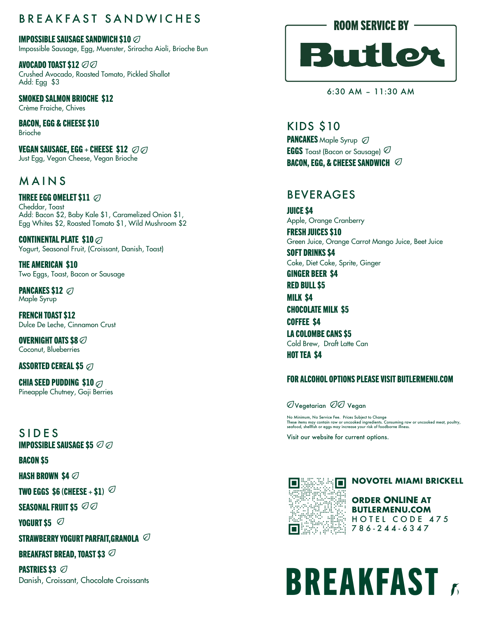#### BREAKFAST SANDWICHES

IMPOSSIBLE SAUSAGE SANDWICH \$10  $\oslash$ Impossible Sausage, Egg, Muenster, Sriracha Aioli, Brioche Bun

AVOCADO TOAST \$12 ∅∅ Crushed Avocado, Roasted Tomato, Pickled Shallot Add: Egg \$3

SMOKED SALMON BRIOCHE \$12 Crème Fraiche, Chives

BACON, EGG & CHEESE \$10 Brioche

**VEGAN SAUSAGE, EGG + CHEESE \$12**  $\oslash$ Just Egg, Vegan Cheese, Vegan Brioche

#### MAINS

THREE EGG OMELET \$11  $\oslash$ Cheddar, Toast Add: Bacon \$2, Baby Kale \$1, Caramelized Onion \$1, Egg Whites \$2, Roasted Tomato \$1, Wild Mushroom \$2

CONTINENTAL PLATE \$10 ⊘ Yogurt, Seasonal Fruit, (Croissant, Danish, Toast)

THE AMERICAN \$10 Two Eggs, Toast, Bacon or Sausage

**PANCAKES \$12**  $\oslash$ Maple Syrup

FRENCH TOAST \$12 Dulce De Leche, Cinnamon Crust

OVERNIGHT OATS \$8  $\varnothing$ Coconut, Blueberries

ASSORTED CEREAL \$5

CHIA SEED PUDDING \$10  $\varnothing$ Pineapple Chutney, Goji Berries

SIDES **IMPOSSIBLE SAUSAGE \$5**  $\oslash$  $\oslash$ 

BACON \$5

HASH BROWN \$4

TWO EGGS \$6 (CHEESE  $+$  \$1)  $\oslash$ 

SEASONAL FRUIT \$5  $\oslash\oslash$ 

**YOGURT \$5**  $\oslash$ 

STRAWBERRY YOGURT PARFAIT.GRANOLA  $\varnothing$ 

BREAKFAST BREAD, TOAST \$3

**PASTRIES \$3 ⊘** Danish, Croissant, Chocolate Croissants



6:30 AM – 11:30 AM

KIDS \$10 PANCAKES Maple Syrup  $\oslash$ EGGS Toast (Bacon or Sausage) BACON, EGG, & CHEESE SANDWICH  $\varnothing$ 

#### BEVERAGES

JUICE \$4 Apple, Orange Cranberry

FRESH JUICES \$10 Green Juice, Orange Carrot Mango Juice, Beet Juice SOFT DRINKS \$4

Coke, Diet Coke, Sprite, Ginger

GINGER BEER \$4

RED BULL \$5

MILK \$4 CHOCOLATE MILK \$5 COFFEE \$4 LA COLOMBE CANS \$5 Cold Brew, Draft Latte Can

HOT TEA \$4

#### FOR ALCOHOL OPTIONS PLEASE VISIT BUTLERMENU.COM

OVegetarian 00 Vegan

No Minimum, No Service Fee. Prices Subject to Change<br>These items may contain raw or uncooked ingredients. Consuming raw or uncooked meat, poultry,<br>seafood, shellfish or eggs may increase your risk of foodborne illness.

Visit our website for current options.



**NOVOTEL MIAMI BRICKELL** 

**ORDER ONLINE AT BUTLERMENU.COM** HOTEL CODE 475 786 - 244 - 6347

# **BREAKFAST**